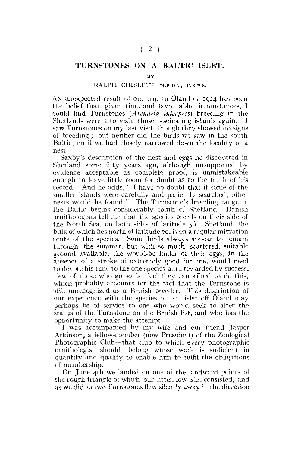## **TURNSTONES ON A BALTIC ISLET.**

## RALPH CHISLETT, M.B.O.U, F.R.P.S.

AN: unexpected result of our trip to Oland of 1924 has been the belief that, given time and favourable circumstances, I could find Turnstones *(Arenaria interpres)* breeding in the Shetlands were I to visit those fascinating islands again. I saw Turnstones on my last visit, though they showed no signs of breeding ; but neither did the birds we saw in the south Baltic, until we had closely narrowed down the locality of a nest.

Saxby's description of the nest and eggs he discovered in Shetland some fifty years ago, although unsupported by evidence acceptable as complete proof, is unmistakeable enough to leave little room for doubt as to the truth of his record. And he adds, " I have no doubt that if some of the smaller islands were carefully and patiently searched, other nests would be found." The Turnstone's breeding range in the Baltic, begins considerably south of Shetland. Danish ornithologists tell me that the species breeds on their side of the North Sea, on both sides of latitude 56. Shetland, the bulk of which lies north of latitude 60, is on a regular migration route of the species. Some birds always appear to remain through the summer, but with so much scattered, suitable ground available, the would-be finder of their eggs, in the absence of a stroke of extremely good fortune, would need to devote his time to the one species until rewarded by success. Tew of those who go so far feel they can afford to do this, which probably accounts for the fact that the Turnstone is still unrecognized as a British breeder. This description of our experience with the species on an islet off Oland may perhaps be of service to one who would seek to alter the status of the Turnstone on the British list, and who has the opportunity to make the attempt.

I was accompanied by my wife and our friend Jasper Atkinson, a fellow-member (now President) of the Zoological Photographic Club—that club to which every photographic ornithologist should belong whose work is sufficient in quantity and quality to enable him to fulfil the obligations of membership.

On June 4th we landed on one of the landward points of the rough triangle of which our little, low islet consisted, and as we did so two Turnstones flew silently away in the direction

**BY**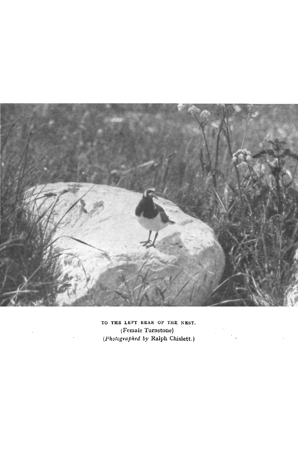

TO THE LEFT REAR OF THE NEST. (Female Turnstone) *(Photographed by* Ralph Chislett.)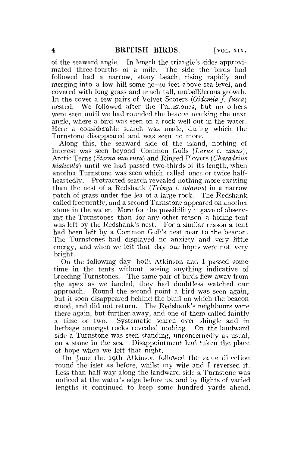of the seaward angle. In length the triangle's sides approximated three-fourths of a mile. The side the birds had followed had a narrow, stony beach, rising rapidly and merging into a low hill some 30-40 feet above sea-level, and covered with long grass and much tall, umbelliferous growth. In the cover a few pairs of Velvet Scoters *(Oidemia f. fusca)*  nested. We followed after the Turnstones, but no others were seen until we had rounded the beacon marking the next angle, where a bird was seen on a rock well out in the water. Here a considerable search was made, during which the Turnstone disappeared and was seen no more.

Along this, the seaward side of the island, nothing of interest was seen beyond Common Gulls *(Larus c, canus),*  Arctic Terns *{Sterna macrura)* and Ringed Plovers *(Charadrius hiaticula*) until we had passed two-thirds of its length, when another Turnstone was seen which called once or twice halfheartedly. Protracted search revealed nothing more exciting than the nest of a Redshank *(Tringa t. totanus)* in a narrow patch of grass under the lea of a large rock. The Redshank called frequently, and a second Turnstone appeared on another stone in the water. More for the possibility it gave of observing the Turnstones than for any other reason a hiding-tent was left by the Redshank's nest. For a similar reason a tent had been left by a Common Gull's nest near to the beacon. The Turnstones had displayed no anxiety and very little energy, and when we left that day our hopes were not very bright.

On the following day both Atkinson and I passed some time in the tents without seeing anything indicative of breeding Turnstones. The same pair of birds flew away from the apex as we landed, they had doubtless watched our approach. Round the second point a bird was seen again, but it soon disappeared behind the bluff on which the beacon stood, and did not return. The Redshank's neighbours were there again, but further, away, and one of them called faintly a time or two. Systematic search over shingle and in herbage amongst rocks revealed nothing. On the landward side a Turnstone was seen standing, unconcernedly as usual, on a stone in the sea. Disappointment had taken the place of hope when we left that night.

On June the 19th Atkinson followed the same direction round the islet as before, whilst my wife and I reversed it. Less than half-way along the landward side a Turnstone was noticed at the water's edge before us, and by flights of varied lengths it continued to keep some hundred yards ahead.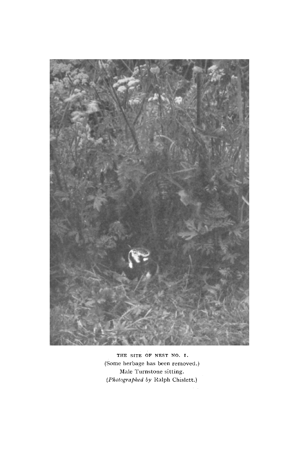

THE SITE OF NEST NO. I. (Some herbage has been removed.) Male Turnstone sitting. *(Photographed by* Ralph Chislett.)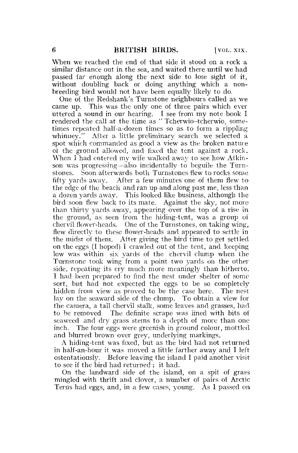When we reached the end of that side it stood on a rock a similar distance out in the sea, and waited there until we had passed far enough along the next side to lose sight of it, without doubling back or doing anything which a nonbreeding bird would not have been equally likely to do.

One of the Redshank's Turnstone neighbours called as we came up. This was the only one of three pairs which ever uttered a sound in our hearing. I see from my note book I rendered the call at the time as "Tcherwio-tcherwio, sometimes repeated half-a-dozen times so as to form a rippling whinney." After a little preliminary search we selected a spot which commanded as good a view as the broken nature of the ground allowed, and fixed the tent against a rock. When I had entered my wife walked away to see how Atkinson was progressing—also incidentally to beguile the Turnstones. Soon afterwards both Turnstones flew to rocks some fifty yards away. After a few minutes one of them flew to the edge of the beach and ran up and along past me, less than a dozen yards away. This looked like business, although the bird soon flew back to its mate. Against the sky, not more than thirty yards away, appearing over the top of a rise in the ground, as seen from the hiding-tent, was a group of chervil flower-heads. One of the Turnstones, on taking wing, flew directly to these flower-heads and appeared to settle in the midst of them. After giving the bird time to get settled on the eggs (I hoped) I crawled out of the tent, and keeping low was within six yards of the chervil clump when the Turnstone took wing from a point two yards on the other side, repeating its cry much more meaningly than hitherto. I had been prepared to find the nest under shelter of some sort, but had not expected the eggs to be so completely hidden from view as proved to be the case here. The nest lay on the seaward side of the clump. To obtain a view for the camera, a tall chervil stalk, some leaves and grasses, had to be removed. The definite scrape was lined with bits of seaweed and dry grass stems to a depth of more than one inch. The four eggs were greenish in ground colour, mottled and blurred brown over grey, underlying markings.

A hiding-tent was fixed, but as the bird had not returned in half-an-hour it was moved a little farther away and I left ostentatiously. Before leaving the island I paid another visit to see if the bird had returned ; it had.

On the landward side of the island, on a spit of grass mingled with thrift and clover, a number of pairs of Arctic Terns had eggs, and, in a few cases, young. As I passed on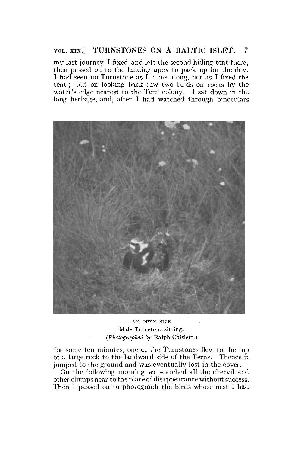## VOL. xix.] TURNSTONES ON A BALTIC ISLET. 7

my last journey I fixed and left the second hiding-tent there, then passed on to the landing apex to pack up for the day. I had seen no Turnstone as  $\overrightarrow{I}$  came along, nor as I fixed the tent ; but on looking back saw two birds on rocks by the water's edge nearest to the Tern colony. I sat down in the long herbage, and, after I had watched through binoculars



AN OPEN SITE. Male Turnstone sitting. *(Photographed by* Ralph Chislett.)

for some ten minutes, one of the Turnstones flew to the top of a large rock to the landward side of the Terns. Thence it jumped to the ground and was eventually lost in the cover.

On the following morning we searched all the chervil and other clumps near to the place of disappearance without success. Then I passed on to photograph the birds whose nest I had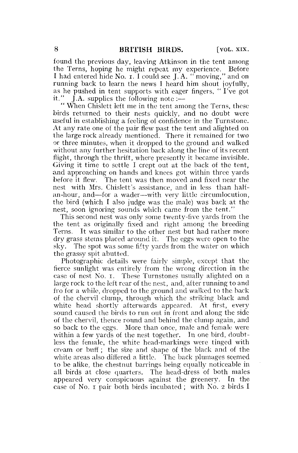found the previous day, leaving Atkinson in the tent among the Terns, hoping he might repeat my experience. Before I had entered hide No.  $\mathbf{r}$ . I could see J.A. "moving," and on running back to learn the news I heard him shout joyfully, as he pushed in tent supports with eager fingers, " $\overrightarrow{I}$  ve got it."  $\left[$ . A. supplies the following note :—

" When Chislett left me in the tent among the Terns, these birds returned to their nests quickly, and no doubt were useful in establishing a feeling of confidence in the Turnstone. At any rate one of the pair flew past the tent and alighted on the large rock already mentioned. There it remained for two or three minutes, when it dropped to the ground and walked without any further hesitation back along the line of its recent flight, through the thrift, where presently it became invisible. Giving it time to settle I crept out at the back of the tent, and approaching on hands and knees got within three yards before it flew. The tent was then moved and fixed near the nest with Mrs. Chislett's assistance, and in less than halfan-hour, and—for a wader—with very little circumlocution, the bird (which I also judge was the male) was back at the nest, soon ignoring sounds which came from the tent."

This second nest was only some twenty-five yards from the the tent as originally fixed and right among the breeding Terns. It was similar to the other nest but had rather more dry grass stems placed around it. The eggs were open to the sky. The spot was some fifty yards from the water on which the grassy spit abutted.

Photographic details were fairly simple, except that the fierce sunlight was entirely from the wrong direction in the case of nest No. i. These Turnstones usually alighted on a large rock to the left rear of the nest, and, after running to and fro for a while, dropped to the ground and walked to the back of the chervil clump, through which the striking black and white head shortly afterwards appeared. At first, every sound caused the birds to run out in front and along the side of the chervil, thence round and behind the clump again, and so back to the eggs. More than once, male and female were within a few yards of the nest together. In one bird, doubtless the female, the white head-markings were tinged with cream or buff; the size and shape of the black and of the white areas also differed a little. The back plumages seemed to be alike, the chestnut barrings being equally noticeable in all birds at close quarters. The head-dress of both males appeared very conspicuous against the greenery. In the case of No. I pair both birds incubated ; with No. 2 birds I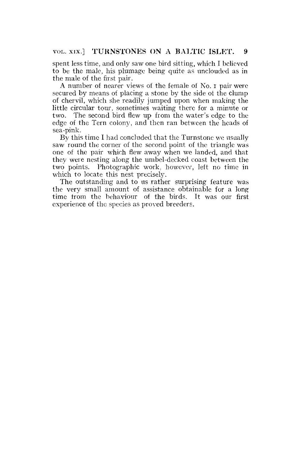spent less time, and only saw one bird sitting, which I believed to be the male, his plumage being quite as unclouded as in the male of the first pair.

A number of nearer views of the female of No. r pair were secured by means of placing a stone by the side of the clump of chervil, which she readily jumped upon when making the little circular- tour, sometimes waiting there for a minute or two. The second bird flew up from the water's edge to the edge of the Tern colony, and then ran between the heads of sea-pink.

By this time I had concluded that the Turnstone we usually saw round the corner of the second point of the triangle was one of the pair which flew away when we landed, and that they were nesting along the umbel-decked coast between the two points. Photographic work, however, left no time in which to locate this nest precisely.

The outstanding and to us rather surprising feature was the very small amount of assistance obtainable for a long time from the behaviour of the birds. It was our first experience of the species as proved breeders.